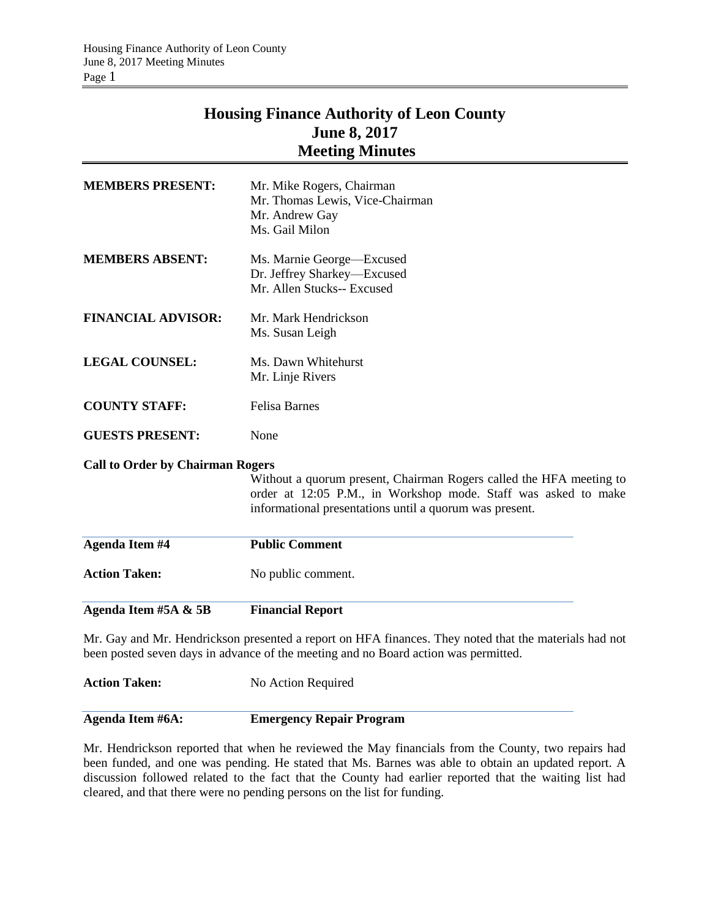## **Housing Finance Authority of Leon County June 8, 2017 Meeting Minutes**

| <b>MEMBERS PRESENT:</b>                                                                               | Mr. Mike Rogers, Chairman                                                                                                                                                                        |  |  |
|-------------------------------------------------------------------------------------------------------|--------------------------------------------------------------------------------------------------------------------------------------------------------------------------------------------------|--|--|
|                                                                                                       | Mr. Thomas Lewis, Vice-Chairman<br>Mr. Andrew Gay                                                                                                                                                |  |  |
|                                                                                                       | Ms. Gail Milon                                                                                                                                                                                   |  |  |
| <b>MEMBERS ABSENT:</b>                                                                                | Ms. Marnie George-Excused<br>Dr. Jeffrey Sharkey-Excused<br>Mr. Allen Stucks-- Excused                                                                                                           |  |  |
| <b>FINANCIAL ADVISOR:</b>                                                                             | Mr. Mark Hendrickson<br>Ms. Susan Leigh                                                                                                                                                          |  |  |
| <b>LEGAL COUNSEL:</b>                                                                                 | Ms. Dawn Whitehurst                                                                                                                                                                              |  |  |
|                                                                                                       | Mr. Linje Rivers                                                                                                                                                                                 |  |  |
| <b>COUNTY STAFF:</b>                                                                                  | <b>Felisa Barnes</b>                                                                                                                                                                             |  |  |
| <b>GUESTS PRESENT:</b>                                                                                | None                                                                                                                                                                                             |  |  |
| <b>Call to Order by Chairman Rogers</b>                                                               |                                                                                                                                                                                                  |  |  |
|                                                                                                       | Without a quorum present, Chairman Rogers called the HFA meeting to<br>order at 12:05 P.M., in Workshop mode. Staff was asked to make<br>informational presentations until a quorum was present. |  |  |
| <b>Agenda Item #4</b>                                                                                 | <b>Public Comment</b>                                                                                                                                                                            |  |  |
| <b>Action Taken:</b>                                                                                  | No public comment.                                                                                                                                                                               |  |  |
| Agenda Item #5A & 5B                                                                                  | <b>Financial Report</b>                                                                                                                                                                          |  |  |
| Mr. Gay and Mr. Hendrickson presented a report on HFA finances. They noted that the materials had not |                                                                                                                                                                                                  |  |  |

been posted seven days in advance of the meeting and no Board action was permitted.

**Action Taken:** No Action Required

## **Agenda Item #6A: Emergency Repair Program**

Mr. Hendrickson reported that when he reviewed the May financials from the County, two repairs had been funded, and one was pending. He stated that Ms. Barnes was able to obtain an updated report. A discussion followed related to the fact that the County had earlier reported that the waiting list had cleared, and that there were no pending persons on the list for funding.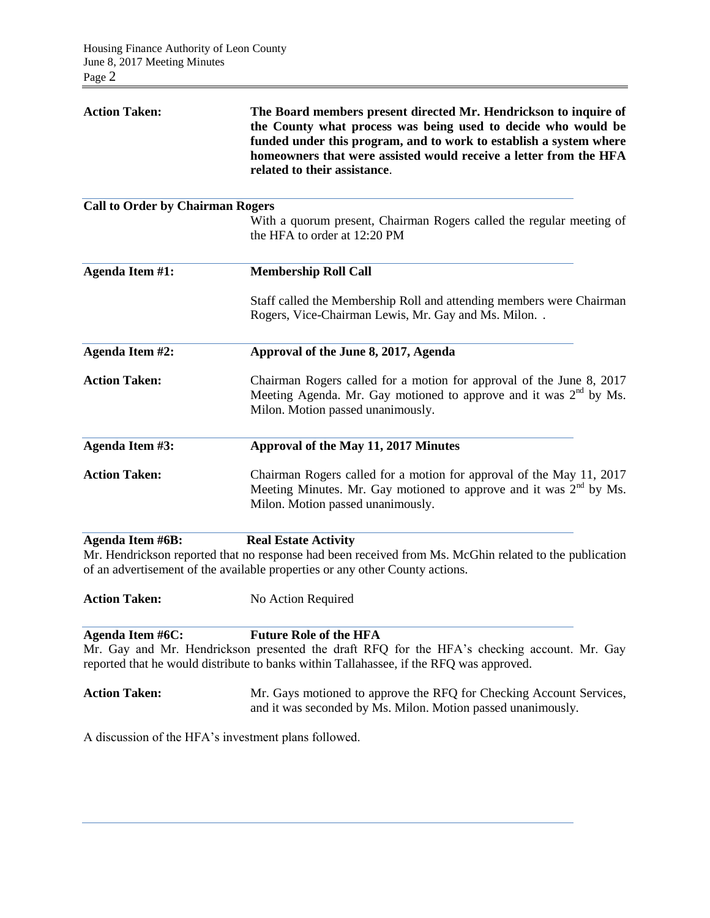| <b>Action Taken:</b>                    | The Board members present directed Mr. Hendrickson to inquire of<br>the County what process was being used to decide who would be<br>funded under this program, and to work to establish a system where<br>homeowners that were assisted would receive a letter from the HFA<br>related to their assistance. |
|-----------------------------------------|--------------------------------------------------------------------------------------------------------------------------------------------------------------------------------------------------------------------------------------------------------------------------------------------------------------|
| <b>Call to Order by Chairman Rogers</b> |                                                                                                                                                                                                                                                                                                              |
|                                         | With a quorum present, Chairman Rogers called the regular meeting of<br>the HFA to order at 12:20 PM                                                                                                                                                                                                         |
| Agenda Item #1:                         | <b>Membership Roll Call</b>                                                                                                                                                                                                                                                                                  |
|                                         | Staff called the Membership Roll and attending members were Chairman<br>Rogers, Vice-Chairman Lewis, Mr. Gay and Ms. Milon. .                                                                                                                                                                                |
| Agenda Item #2:                         | Approval of the June 8, 2017, Agenda                                                                                                                                                                                                                                                                         |
| <b>Action Taken:</b>                    | Chairman Rogers called for a motion for approval of the June 8, 2017<br>Meeting Agenda. Mr. Gay motioned to approve and it was $2nd$ by Ms.<br>Milon. Motion passed unanimously.                                                                                                                             |
| Agenda Item #3:                         | Approval of the May 11, 2017 Minutes                                                                                                                                                                                                                                                                         |
| <b>Action Taken:</b>                    | Chairman Rogers called for a motion for approval of the May 11, 2017<br>Meeting Minutes. Mr. Gay motioned to approve and it was $2nd$ by Ms.<br>Milon. Motion passed unanimously.                                                                                                                            |
| <b>Agenda Item #6B:</b>                 | <b>Real Estate Activity</b>                                                                                                                                                                                                                                                                                  |
|                                         | Mr. Hendrickson reported that no response had been received from Ms. McGhin related to the publication<br>of an advertisement of the available properties or any other County actions.                                                                                                                       |
| <b>Action Taken:</b>                    | No Action Required                                                                                                                                                                                                                                                                                           |
| Agenda Item #6C:                        | <b>Future Role of the HFA</b><br>Mr. Gay and Mr. Hendrickson presented the draft RFQ for the HFA's checking account. Mr. Gay<br>reported that he would distribute to banks within Tallahassee, if the RFQ was approved.                                                                                      |
| <b>Action Taken:</b>                    | Mr. Gays motioned to approve the RFQ for Checking Account Services,<br>and it was seconded by Ms. Milon. Motion passed unanimously.                                                                                                                                                                          |
|                                         | A discussion of the HFA's investment plans followed.                                                                                                                                                                                                                                                         |